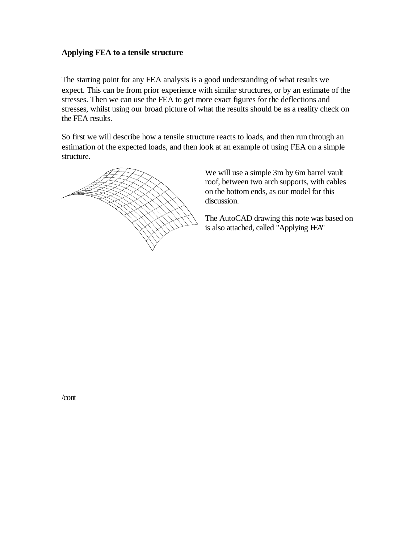## **Applying FEA to a tensile structure**

The starting point for any FEA analysis is a good understanding of what results we expect. This can be from prior experience with similar structures, or by an estimate of the stresses. Then we can use the FEA to get more exact figures for the deflections and stresses, whilst using our broad picture of what the results should be as a reality check on the FEA results.

So first we will describe how a tensile structure reacts to loads, and then run through an estimation of the expected loads, and then look at an example of using FEA on a simple structure.



We will use a simple 3m by 6m barrel vault roof, between two arch supports, with cables on the bottom ends, as our model for this discussion.

The AutoCAD drawing this note was based on is also attached, called "Applying FEA"

/cont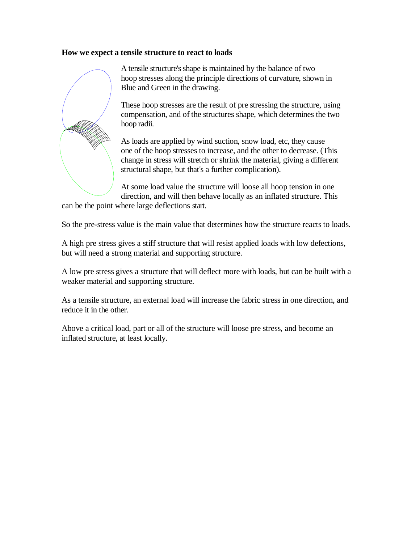### **How we expect a tensile structure to react to loads**



A tensile structure's shape is maintained by the balance of two hoop stresses along the principle directions of curvature, shown in Blue and Green in the drawing.

These hoop stresses are the result of pre stressing the structure, using compensation, and of the structures shape, which determines the two hoop radii.

As loads are applied by wind suction, snow load, etc, they cause one of the hoop stresses to increase, and the other to decrease. (This change in stress will stretch or shrink the material, giving a different structural shape, but that's a further complication).

At some load value the structure will loose all hoop tension in one direction, and will then behave locally as an inflated structure. This

can be the point where large deflections start.

So the pre-stress value is the main value that determines how the structure reacts to loads.

A high pre stress gives a stiff structure that will resist applied loads with low defections, but will need a strong material and supporting structure.

A low pre stress gives a structure that will deflect more with loads, but can be built with a weaker material and supporting structure.

As a tensile structure, an external load will increase the fabric stress in one direction, and reduce it in the other.

Above a critical load, part or all of the structure will loose pre stress, and become an inflated structure, at least locally.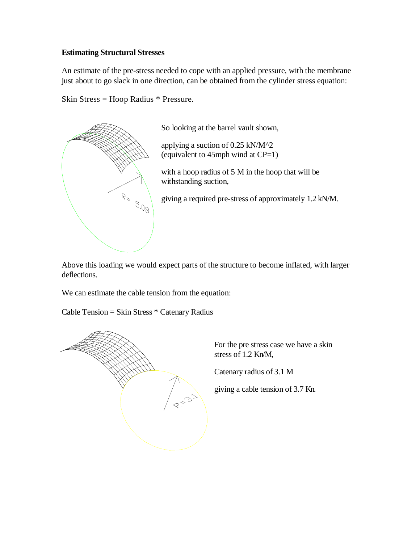## **Estimating Structural Stresses**

An estimate of the pre-stress needed to cope with an applied pressure, with the membrane just about to go slack in one direction, can be obtained from the cylinder stress equation:

Skin Stress = Hoop Radius \* Pressure.



So looking at the barrel vault shown,

applying a suction of 0.25 kN/M^2 (equivalent to  $45$ mph wind at  $CP=1$ )

with a hoop radius of 5 M in the hoop that will be withstanding suction,

giving a required pre-stress of approximately 1.2 kN/M.

Above this loading we would expect parts of the structure to become inflated, with larger deflections.

We can estimate the cable tension from the equation:

Cable Tension = Skin Stress \* Catenary Radius



For the pre stress case we have a skin stress of 1.2 Kn/M,

Catenary radius of 3.1 M

giving a cable tension of 3.7 Kn.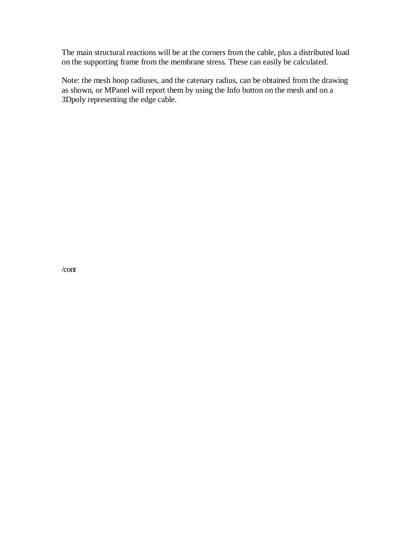The main structural reactions will be at the corners from the cable, plus a distributed load on the supporting frame from the membrane stress. These can easily be calculated.

Note: the mesh hoop radiuses, and the catenary radius, can be obtained from the drawing as shown, or MPanel will report them by using the Info button on the mesh and on a 3Dpoly representing the edge cable.

/cont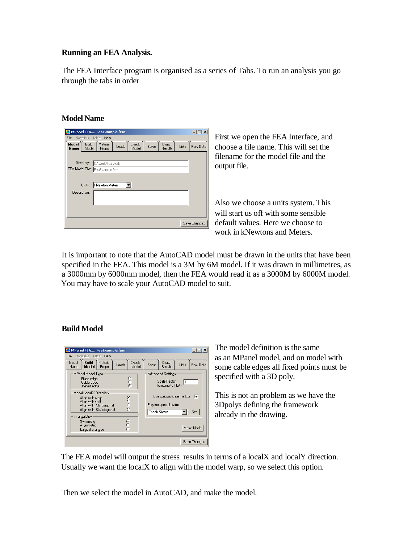## **Running an FEA Analysis.**

The FEA Interface program is organised as a series of Tabs. To run an analysis you go through the tabs in order

### **Model Name**

| MPanel FEA FeaExample.fem                                                                                                           | $ \Box$ x    |
|-------------------------------------------------------------------------------------------------------------------------------------|--------------|
| Materials<br>Table<br>File<br>Help                                                                                                  |              |
| Model<br><b>Build</b><br>Material<br>Check<br>Draw<br>Solve<br>Loads<br>Lists<br>Model<br>Name<br><b>Results</b><br>Props.<br>Model | Raw Data     |
|                                                                                                                                     |              |
| Directory:<br>C:\work\fea work                                                                                                      |              |
| FEA Model File: FeaExample.fem                                                                                                      |              |
|                                                                                                                                     |              |
| kNewton Meters                                                                                                                      |              |
| Units:                                                                                                                              |              |
| Description:                                                                                                                        |              |
|                                                                                                                                     |              |
|                                                                                                                                     |              |
|                                                                                                                                     |              |
|                                                                                                                                     |              |
|                                                                                                                                     | Save Changes |

First we open the FEA Interface, and choose a file name. This will set the filename for the model file and the output file.

Also we choose a units system. This will start us off with some sensible default values. Here we choose to work in kNewtons and Meters.

It is important to note that the AutoCAD model must be drawn in the units that have been specified in the FEA. This model is a 3M by 6M model. If it was drawn in millimetres, as a 3000mm by 6000mm model, then the FEA would read it as a 3000M by 6000M model. You may have to scale your AutoCAD model to suit.

## **Build Model**



The model definition is the same as an MPanel model, and on model with some cable edges all fixed points must be specified with a 3D poly.

This is not an problem as we have the 3Dpolys defining the framework already in the drawing.

The FEA model will output the stress results in terms of a localX and localY direction. Usually we want the localX to align with the model warp, so we select this option.

Then we select the model in AutoCAD, and make the model.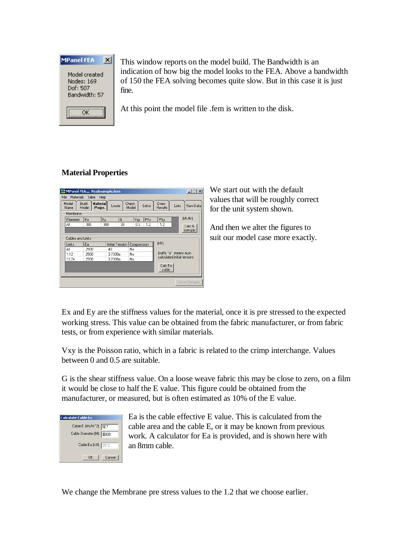

This window reports on the model build. The Bandwidth is an indication of how big the model looks to the FEA. Above a bandwidth of 150 the FEA solving becomes quite slow. But in this case it is just fine.

At this point the model file .fem is written to the disk.

# **Material Properties**



We start out with the default values that will be roughly correct for the unit system shown.

And then we alter the figures to suit our model case more exactly.

Ex and Ey are the stiffness values for the material, once it is pre stressed to the expected working stress. This value can be obtained from the fabric manufacturer, or from fabric tests, or from experience with similar materials.

Vxy is the Poisson ratio, which in a fabric is related to the crimp interchange. Values between 0 and 0.5 are suitable.

G is the shear stiffness value. On a loose weave fabric this may be close to zero, on a film it would be close to half the E value. This figure could be obtained from the manufacturer, or measured, but is often estimated as 10% of the E value.



Ea is the cable effective E value. This is calculated from the cable area and the cable E, or it may be known from previous work. A calculator for Ea is provided, and is shown here with an 8mm cable.

We change the Membrane pre stress values to the 1.2 that we choose earlier.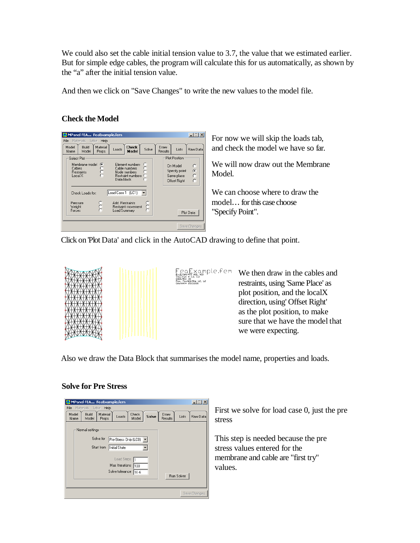We could also set the cable initial tension value to 3.7, the value that we estimated earlier. But for simple edge cables, the program will calculate this for us automatically, as shown by the "a" after the initial tension value.

And then we click on "Save Changes" to write the new values to the model file.

# **Check the Model**



For now we will skip the loads tab, and check the model we have so far.

We will now draw out the Membrane Model.

We can choose where to draw the model… for this case choose "Specify Point".

Click on Plot Data' and click in the AutoCAD drawing to define that point.



aExample.fem<br>
\*\*= -3.3, 3.3 We then draw in the cables and restraints, using 'Same Place' as plot position, and the localX direction, using' Offset Right' as the plot position, to make sure that we have the model that we were expecting.

Also we draw the Data Block that summarises the model name, properties and loads.

M)= 1.2, 1.2

### **Solve for Pre Stress**

| MPanel FEA FeaExample.fem                                                                                              |                                                      |  |  |  |  |  |
|------------------------------------------------------------------------------------------------------------------------|------------------------------------------------------|--|--|--|--|--|
| File<br>Materials<br>Table<br>Help<br>Model<br>Build<br>Material<br>Check<br>Loads<br>Name<br>Model<br>Model<br>Props. | Draw<br>Solve<br>Raw Data<br>Lists<br><b>Results</b> |  |  |  |  |  |
| Normal settings                                                                                                        |                                                      |  |  |  |  |  |
| Solve for<br>Pre-Stress Only (LCO)                                                                                     |                                                      |  |  |  |  |  |
| Start from<br>Initial State                                                                                            |                                                      |  |  |  |  |  |
| Load Steps                                                                                                             |                                                      |  |  |  |  |  |
| Max Itterations<br>100                                                                                                 |                                                      |  |  |  |  |  |
| Solve tolerance<br>1E-6                                                                                                | Run Solver                                           |  |  |  |  |  |
|                                                                                                                        |                                                      |  |  |  |  |  |
|                                                                                                                        | Save Changes                                         |  |  |  |  |  |

First we solve for load case 0, just the pre stress

This step is needed because the pre stress values entered for the membrane and cable are "first try" values.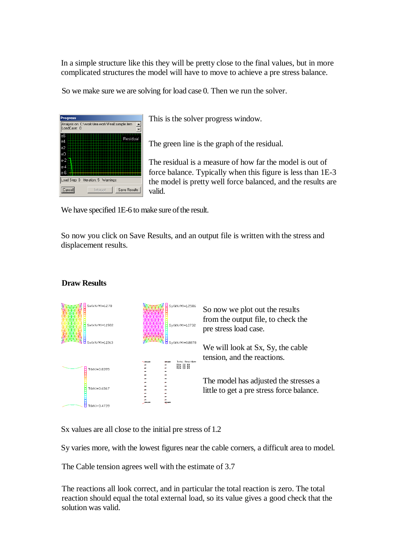In a simple structure like this they will be pretty close to the final values, but in more complicated structures the model will have to move to achieve a pre stress balance.

So we make sure we are solving for load case 0. Then we run the solver.



This is the solver progress window.

The green line is the graph of the residual.

The residual is a measure of how far the model is out of force balance. Typically when this figure is less than 1E-3 the model is pretty well force balanced, and the results are valid.

We have specified 1E-6 to make sure of the result.

So now you click on Save Results, and an output file is written with the stress and displacement results.



**Draw Results** 

Sx values are all close to the initial pre stress of 1.2

Sy varies more, with the lowest figures near the cable corners, a difficult area to model.

The Cable tension agrees well with the estimate of 3.7

The reactions all look correct, and in particular the total reaction is zero. The total reaction should equal the total external load, so its value gives a good check that the solution was valid.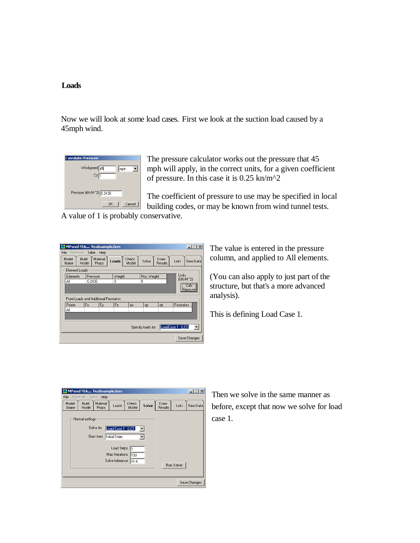#### **Loads**

Now we will look at some load cases. First we look at the suction load caused by a 45mph wind.

| <b>Calculate Pressure</b>                             |
|-------------------------------------------------------|
| Windspeed 45<br>mph<br>Cp <sub>1</sub>                |
| Pressure (kN/M <sup>2</sup> 2) 0.2438<br>Cancel<br>OK |

The pressure calculator works out the pressure that 45 mph will apply, in the correct units, for a given coefficient of pressure. In this case it is  $0.25 \text{ km/m}^2$ 

The coefficient of pressure to use may be specified in local building codes, or may be known from wind tunnel tests.

A value of 1 is probably conservative.

|                                                                            | $\Box$ $\Box$ $\times$<br>MPanel FEA FeaExample.fem |    |                    |       |                |       |                  |       |          |
|----------------------------------------------------------------------------|-----------------------------------------------------|----|--------------------|-------|----------------|-------|------------------|-------|----------|
|                                                                            | File<br>Table<br>Materials<br>Help                  |    |                    |       |                |       |                  |       |          |
|                                                                            | Build<br>Model<br>Model<br>Name                     |    | Material<br>Props. | Loads | Check<br>Model | Solve | Draw<br>Results  | Lists | Raw Data |
|                                                                            | Element Loads                                       |    |                    |       |                |       |                  |       |          |
| <b>Units</b><br>Proj. Weight<br>Weight<br>Elements<br>Pressure<br>(kN/M^2) |                                                     |    |                    |       |                |       |                  |       |          |
|                                                                            | ΑI<br>0.2438<br>0<br>۵                              |    |                    |       |                |       |                  |       |          |
|                                                                            | <b>Calc</b><br>Pressure                             |    |                    |       |                |       |                  |       |          |
|                                                                            |                                                     |    |                    |       |                |       |                  |       |          |
|                                                                            | Point Loads and Additional Restraints               |    |                    |       |                |       |                  |       |          |
|                                                                            | Points                                              | Fx | Fy                 | Fz    | dx             | dy    | Restraints<br>dz |       |          |
|                                                                            | Αll                                                 |    |                    |       |                |       |                  |       |          |
|                                                                            |                                                     |    |                    |       |                |       |                  |       |          |
|                                                                            |                                                     |    |                    |       |                |       |                  |       |          |
|                                                                            | LoadCase 1 (LC1)<br>Specify loads for:              |    |                    |       |                |       |                  |       |          |
|                                                                            | Save Changes                                        |    |                    |       |                |       |                  |       |          |

The value is entered in the pressure column, and applied to All elements.

(You can also apply to just part of the structure, but that's a more advanced analysis).

This is defining Load Case 1.

|               | MPanel FEA FeaExample.fem                                                          | $ \Box$ $\times$  |
|---------------|------------------------------------------------------------------------------------|-------------------|
| File<br>Model | Materials<br>Table<br>Help<br>Build<br>Material<br>Check<br>Draw<br>Solve<br>Loads | Lists<br>Raw Data |
| Name          | Results<br>Model<br>Props.<br>Model                                                |                   |
|               | Normal settings                                                                    |                   |
|               | Solve for<br>Load Case 1 (LC1)<br>Start from                                       |                   |
|               | Initial State                                                                      |                   |
|               | Load Steps<br>Max Itterations<br>100                                               |                   |
|               | Solve tolerance<br>1E-6                                                            | <b>Run Solver</b> |
|               |                                                                                    |                   |
|               |                                                                                    | Save Changes      |

Then we solve in the same manner as before, except that now we solve for load case 1.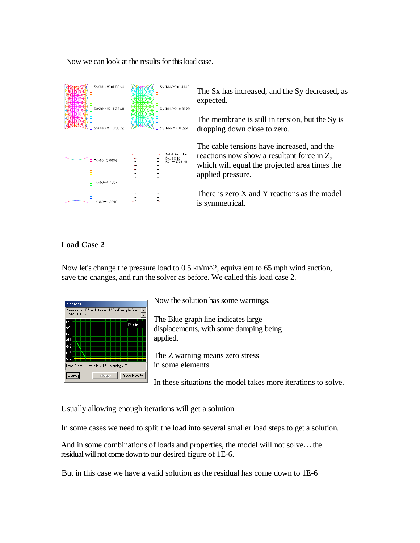Now we can look at the results for this load case.

| Sx(kN/M)=1.8664<br>Sx(kN/M)=1.3868<br>Sx(kN/M)=0.9072 | Sy(kN/M)=1.4143<br>Sy(kN/M)=0.8192<br>Sy(kN/M)=0.224   |
|-------------------------------------------------------|--------------------------------------------------------|
| T(kN)=5.0096<br>T(kN)=4.7007                          | <b>Total Reaction:</b><br>RX= 8.0 KN<br>RZ= -4.1738 kN |

The Sx has increased, and the Sy decreased, as expected.

The membrane is still in tension, but the Sy is dropping down close to zero.

The cable tensions have increased, and the reactions now show a resultant force in Z, which will equal the projected area times the applied pressure.

There is zero X and Y reactions as the model is symmetrical.

# **Load Case 2**

Now let's change the pressure load to 0.5 kn/m<sup>2</sup>, equivalent to 65 mph wind suction, save the changes, and run the solver as before. We called this load case 2.



Now the solution has some warnings.

The Blue graph line indicates large displacements, with some damping being applied.

The Z warning means zero stress in some elements.

In these situations the model takes more iterations to solve.

Usually allowing enough iterations will get a solution.

In some cases we need to split the load into several smaller load steps to get a solution.

And in some combinations of loads and properties, the model will not solve… the residual will not come down to our desired figure of 1E-6.

But in this case we have a valid solution as the residual has come down to 1E-6